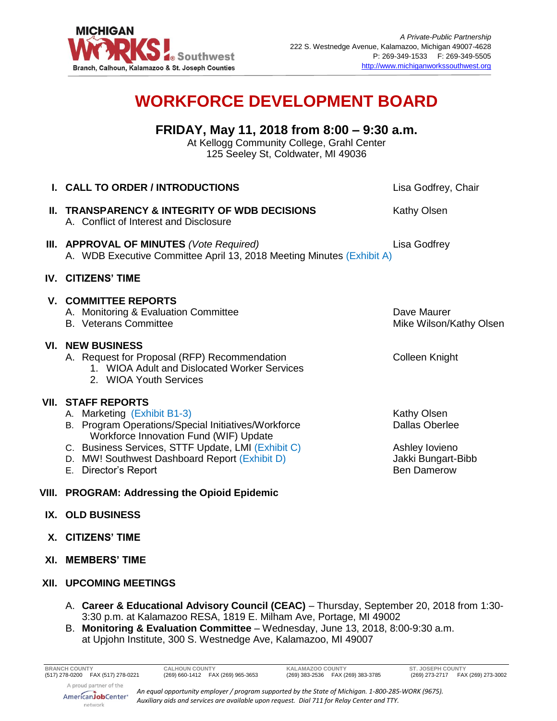

## **WORKFORCE DEVELOPMENT BOARD**

**FRIDAY, May 11, 2018 from 8:00 – 9:30 a.m.** At Kellogg Community College, Grahl Center 125 Seeley St, Coldwater, MI 49036

| <b>I. CALL TO ORDER / INTRODUCTIONS</b>                                                                                                                                                                                                                                                     | Lisa Godfrey, Chair                                                                         |
|---------------------------------------------------------------------------------------------------------------------------------------------------------------------------------------------------------------------------------------------------------------------------------------------|---------------------------------------------------------------------------------------------|
| <b>II. TRANSPARENCY &amp; INTEGRITY OF WDB DECISIONS</b><br>A. Conflict of Interest and Disclosure                                                                                                                                                                                          | Kathy Olsen                                                                                 |
| III. APPROVAL OF MINUTES (Vote Required)<br>A. WDB Executive Committee April 13, 2018 Meeting Minutes (Exhibit A)                                                                                                                                                                           | Lisa Godfrey                                                                                |
| <b>IV. CITIZENS' TIME</b>                                                                                                                                                                                                                                                                   |                                                                                             |
| <b>V. COMMITTEE REPORTS</b><br>A. Monitoring & Evaluation Committee<br><b>B.</b> Veterans Committee                                                                                                                                                                                         | Dave Maurer<br>Mike Wilson/Kathy Olsen                                                      |
| <b>VI. NEW BUSINESS</b><br>A. Request for Proposal (RFP) Recommendation<br>1. WIOA Adult and Dislocated Worker Services<br>2. WIOA Youth Services                                                                                                                                           | Colleen Knight                                                                              |
| <b>VII. STAFF REPORTS</b><br>A. Marketing (Exhibit B1-3)<br>B. Program Operations/Special Initiatives/Workforce<br>Workforce Innovation Fund (WIF) Update<br>C. Business Services, STTF Update, LMI (Exhibit C)<br>D. MW! Southwest Dashboard Report (Exhibit D)<br>Director's Report<br>Е. | Kathy Olsen<br>Dallas Oberlee<br>Ashley lovieno<br>Jakki Bungart-Bibb<br><b>Ben Damerow</b> |

## **VIII. PROGRAM: Addressing the Opioid Epidemic**

## **IX. OLD BUSINESS**

- **X. CITIZENS' TIME**
- **XI. MEMBERS' TIME**
- **XII. UPCOMING MEETINGS**
	- A. **Career & Educational Advisory Council (CEAC)** Thursday, September 20, 2018 from 1:30- 3:30 p.m. at Kalamazoo RESA, 1819 E. Milham Ave, Portage, MI 49002
	- B. **Monitoring & Evaluation Committee** Wednesday, June 13, 2018, 8:00-9:30 a.m. at Upjohn Institute, 300 S. Westnedge Ave, Kalamazoo, MI 49007



*An equal opportunity employer / program supported by the State of Michigan. 1-800-285-WORK (9675). Auxiliary aids and services are available upon request. Dial 711 for Relay Center and TTY.*